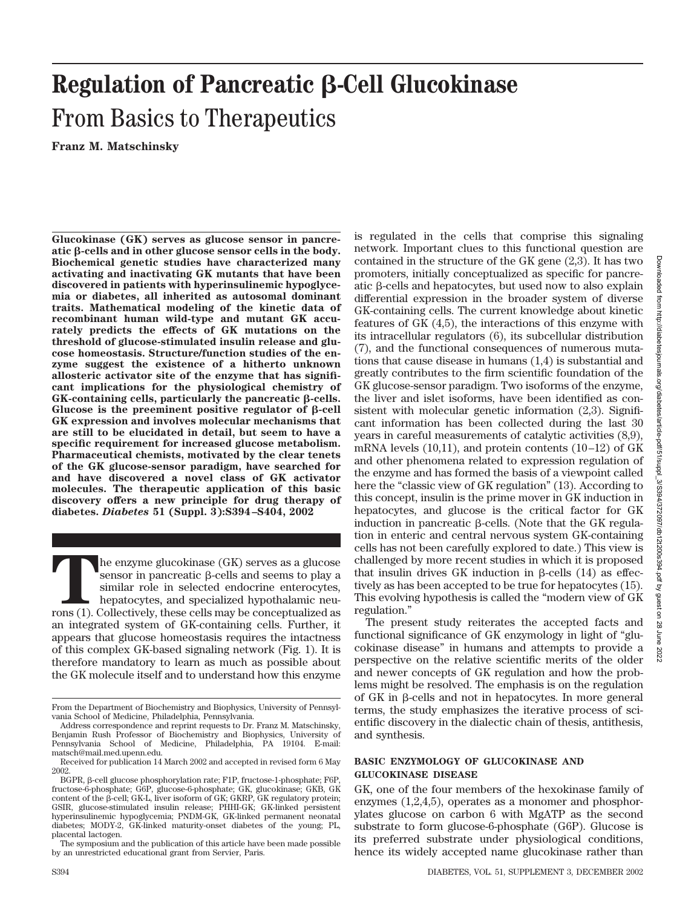# Downloaded from http://diabetesjournals.org/diabetes/article-pdf/51/suppl\_3/S394/372097/db12t200s394.pdf by guest on 28 June 2022Oownloaded from http://diabetesjournals.org/diabetes/article-pdf/51/supp]\_3/S394/372097/db1221200s394.pdf by guest on

28 June 2022

# **Regulation of Pancreatic β-Cell Glucokinase** From Basics to Therapeutics

**Franz M. Matschinsky**

**Glucokinase (GK) serves as glucose sensor in pancreatic -cells and in other glucose sensor cells in the body. Biochemical genetic studies have characterized many activating and inactivating GK mutants that have been discovered in patients with hyperinsulinemic hypoglycemia or diabetes, all inherited as autosomal dominant traits. Mathematical modeling of the kinetic data of recombinant human wild-type and mutant GK accurately predicts the effects of GK mutations on the threshold of glucose-stimulated insulin release and glucose homeostasis. Structure/function studies of the enzyme suggest the existence of a hitherto unknown allosteric activator site of the enzyme that has significant implications for the physiological chemistry of** GK-containing cells, particularly the pancreatic  $\beta$ -cells. Glucose is the preeminent positive regulator of  $\beta$ -cell **GK expression and involves molecular mechanisms that are still to be elucidated in detail, but seem to have a specific requirement for increased glucose metabolism. Pharmaceutical chemists, motivated by the clear tenets of the GK glucose-sensor paradigm, have searched for and have discovered a novel class of GK activator molecules. The therapeutic application of this basic discovery offers a new principle for drug therapy of diabetes.** *Diabetes* **51 (Suppl. 3):S394–S404, 2002**

 $\blacksquare$  The enzyme glucokinase (GK) serves as a glucose sensor in pancreatic  $\beta$ -cells and seems to play a similar role in selected endocrine enterocytes, hepatocytes, and specialized hypothalamic neurons (1). Collectivel sensor in pancreatic  $\beta$ -cells and seems to play a similar role in selected endocrine enterocytes, hepatocytes, and specialized hypothalamic neuan integrated system of GK-containing cells. Further, it appears that glucose homeostasis requires the intactness of this complex GK-based signaling network (Fig. 1). It is therefore mandatory to learn as much as possible about the GK molecule itself and to understand how this enzyme network. Important clues to this functional question are contained in the structure of the GK gene (2,3). It has two promoters, initially conceptualized as specific for pancreatic  $\beta$ -cells and hepatocytes, but used now to also explain differential expression in the broader system of diverse GK-containing cells. The current knowledge about kinetic features of GK (4,5), the interactions of this enzyme with its intracellular regulators (6), its subcellular distribution (7), and the functional consequences of numerous mutations that cause disease in humans (1,4) is substantial and greatly contributes to the firm scientific foundation of the GK glucose-sensor paradigm. Two isoforms of the enzyme, the liver and islet isoforms, have been identified as consistent with molecular genetic information (2,3). Significant information has been collected during the last 30 years in careful measurements of catalytic activities (8,9), mRNA levels  $(10,11)$ , and protein contents  $(10-12)$  of GK and other phenomena related to expression regulation of the enzyme and has formed the basis of a viewpoint called here the "classic view of GK regulation" (13). According to this concept, insulin is the prime mover in GK induction in hepatocytes, and glucose is the critical factor for GK induction in pancreatic  $\beta$ -cells. (Note that the GK regulation in enteric and central nervous system GK-containing cells has not been carefully explored to date.) This view is challenged by more recent studies in which it is proposed that insulin drives GK induction in  $\beta$ -cells (14) as effectively as has been accepted to be true for hepatocytes (15). This evolving hypothesis is called the "modern view of GK regulation."

is regulated in the cells that comprise this signaling

The present study reiterates the accepted facts and functional significance of GK enzymology in light of "glucokinase disease" in humans and attempts to provide a perspective on the relative scientific merits of the older and newer concepts of GK regulation and how the problems might be resolved. The emphasis is on the regulation of GK in β-cells and not in hepatocytes. In more general terms, the study emphasizes the iterative process of scientific discovery in the dialectic chain of thesis, antithesis, and synthesis.

### **BASIC ENZYMOLOGY OF GLUCOKINASE AND GLUCOKINASE DISEASE**

GK, one of the four members of the hexokinase family of enzymes (1,2,4,5), operates as a monomer and phosphorylates glucose on carbon 6 with MgATP as the second substrate to form glucose-6-phosphate (G6P). Glucose is its preferred substrate under physiological conditions, hence its widely accepted name glucokinase rather than

From the Department of Biochemistry and Biophysics, University of Pennsylvania School of Medicine, Philadelphia, Pennsylvania.

Address correspondence and reprint requests to Dr. Franz M. Matschinsky, Benjamin Rush Professor of Biochemistry and Biophysics, University of Pennsylvania School of Medicine, Philadelphia, PA 19104. E-mail: matsch@mail.med.upenn.edu.

Received for publication 14 March 2002 and accepted in revised form 6 May 2002.

BGPR,  $\beta$ -cell glucose phosphorylation rate; F1P, fructose-1-phosphate; F6P, fructose-6-phosphate; G6P, glucose-6-phosphate; GK, glucokinase; GKB, GK content of the  $\beta$ -cell; GK-L, liver isoform of GK; GKRP, GK regulatory protein; GSIR, glucose-stimulated insulin release; PHHI-GK; GK-linked persistent hyperinsulinemic hypoglycemia; PNDM-GK, GK-linked permanent neonatal diabetes; MODY-2, GK-linked maturity-onset diabetes of the young; PL, placental lactogen.

The symposium and the publication of this article have been made possible by an unrestricted educational grant from Servier, Paris.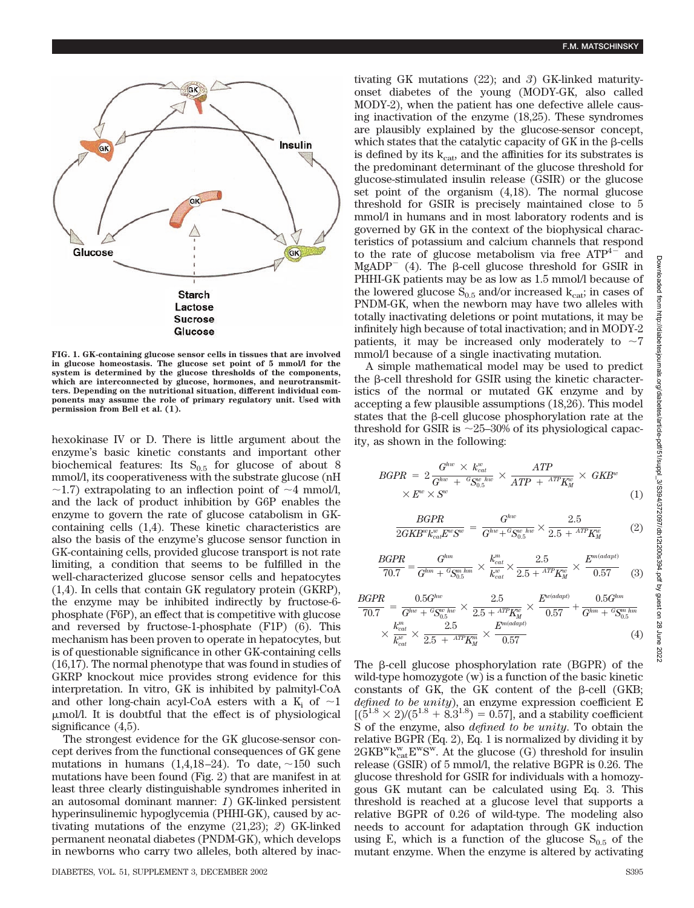

**FIG. 1. GK-containing glucose sensor cells in tissues that are involved in glucose homeostasis. The glucose set point of 5 mmol/l for the system is determined by the glucose thresholds of the components, which are interconnected by glucose, hormones, and neurotransmitters. Depending on the nutritional situation, different individual components may assume the role of primary regulatory unit. Used with permission from Bell et al. (1).**

hexokinase IV or D. There is little argument about the enzyme's basic kinetic constants and important other biochemical features: Its  $S_{0.5}$  for glucose of about 8 mmol/l, its cooperativeness with the substrate glucose (nH  $\sim$ 1.7) extrapolating to an inflection point of  $\sim$ 4 mmol/l, and the lack of product inhibition by G6P enables the enzyme to govern the rate of glucose catabolism in GKcontaining cells (1,4). These kinetic characteristics are also the basis of the enzyme's glucose sensor function in GK-containing cells, provided glucose transport is not rate limiting, a condition that seems to be fulfilled in the well-characterized glucose sensor cells and hepatocytes (1,4). In cells that contain GK regulatory protein (GKRP), the enzyme may be inhibited indirectly by fructose-6 phosphate (F6P), an effect that is competitive with glucose and reversed by fructose-1-phosphate (F1P) (6). This mechanism has been proven to operate in hepatocytes, but is of questionable significance in other GK-containing cells (16,17). The normal phenotype that was found in studies of GKRP knockout mice provides strong evidence for this interpretation. In vitro, GK is inhibited by palmityl-CoA and other long-chain acyl-CoA esters with a  $K_i$  of  $\sim$ 1 mol/l. It is doubtful that the effect is of physiological significance  $(4,5)$ .

The strongest evidence for the GK glucose-sensor concept derives from the functional consequences of GK gene mutations in humans  $(1,4,18-24)$ . To date,  $\sim$ 150 such mutations have been found (Fig. 2) that are manifest in at least three clearly distinguishable syndromes inherited in an autosomal dominant manner: *1*) GK-linked persistent hyperinsulinemic hypoglycemia (PHHI-GK), caused by activating mutations of the enzyme (21,23); *2*) GK-linked permanent neonatal diabetes (PNDM-GK), which develops in newborns who carry two alleles, both altered by inactivating GK mutations (22); and *3*) GK-linked maturityonset diabetes of the young (MODY-GK, also called MODY-2), when the patient has one defective allele causing inactivation of the enzyme (18,25). These syndromes are plausibly explained by the glucose-sensor concept, which states that the catalytic capacity of  $GK$  in the  $\beta$ -cells is defined by its  $k_{cat}$ , and the affinities for its substrates is the predominant determinant of the glucose threshold for glucose-stimulated insulin release (GSIR) or the glucose set point of the organism (4,18). The normal glucose threshold for GSIR is precisely maintained close to 5 mmol/l in humans and in most laboratory rodents and is governed by GK in the context of the biophysical characteristics of potassium and calcium channels that respond to the rate of glucose metabolism via free  $ATP<sup>4-</sup>$  and  $MgADP^-$  (4). The  $\beta$ -cell glucose threshold for GSIR in PHHI-GK patients may be as low as 1.5 mmol/l because of the lowered glucose  $S_{0.5}$  and/or increased  $k_{cat}$ ; in cases of PNDM-GK, when the newborn may have two alleles with totally inactivating deletions or point mutations, it may be infinitely high because of total inactivation; and in MODY-2 patients, it may be increased only moderately to  $\sim 7$ mmol/l because of a single inactivating mutation.

A simple mathematical model may be used to predict the  $\beta$ -cell threshold for GSIR using the kinetic characteristics of the normal or mutated GK enzyme and by accepting a few plausible assumptions (18,26). This model states that the  $\beta$ -cell glucose phosphorylation rate at the threshold for GSIR is  $\sim$ 25–30% of its physiological capacity, as shown in the following:

$$
BGPR = 2 \frac{G^{hw} \times k_{cat}^w}{G^{hw} + {}^G S_{0.5}^{w \;hw}} \times \frac{ATP}{ATP + {}^{ATP}K_M^w} \times GKB^w
$$
  
 
$$
\times E^w \times S^w
$$
 (1)

$$
\frac{BGPR}{2GKB^{w}k_{cal}^{w}E^{w}S^{w}} = \frac{G^{hw}}{G^{hw} + {}^{G}\!S^{w}_{0.5}} \times \frac{2.5}{2.5 + {}^{ATP}K_M^{w}}
$$
(2)

$$
\frac{BGPR}{70.7} = \frac{G^{hm}}{G^{hm} + {}^G\!S^{m\,hm}_{0.5}} \times \frac{k_{cat}^m}{k_{cat}^{w}} \times \frac{2.5}{2.5 + {}^{ATP}K_M^w} \times \frac{E^{m(a dapt)}}{0.57}
$$
(3)

$$
\frac{BGPR}{70.7} = \frac{0.5G^{hw}}{G^{hw} + {}^G\!S^{w \,hw}_{0.5}} \times \frac{2.5}{2.5 + {}^{ATP}K^{w}_{M}} \times \frac{E^{w (adapt)}}{0.57} + \frac{0.5G^{hm}}{G^{hm} + {}^G\!S^{m \,hm}_{0.5}} \times \frac{k^{m}_{cat}}{k^{cu}_{cat}} \times \frac{2.5}{2.5 + {}^{ATP}K^{m}_{M}} \times \frac{E^{m (adapt)}}{0.57}
$$
\n(4)

The  $\beta$ -cell glucose phosphorylation rate (BGPR) of the wild-type homozygote (w) is a function of the basic kinetic constants of GK, the GK content of the  $\beta$ -cell (GKB; *defined to be unity*), an enzyme expression coefficient E  $[(5^{1.8} \times 2)/(5^{1.8} + 8.3^{1.8}) = 0.57]$ , and a stability coefficient S of the enzyme, also *defined to be unity*. To obtain the relative BGPR (Eq. 2), Eq. 1 is normalized by dividing it by  $2GKB^w k_{cat}^w E^w S^w$ . At the glucose (G) threshold for insulin release (GSIR) of 5 mmol/l, the relative BGPR is 0.26. The glucose threshold for GSIR for individuals with a homozygous GK mutant can be calculated using Eq. 3. This threshold is reached at a glucose level that supports a relative BGPR of 0.26 of wild-type. The modeling also needs to account for adaptation through GK induction using E, which is a function of the glucose  $S_{0.5}$  of the mutant enzyme. When the enzyme is altered by activating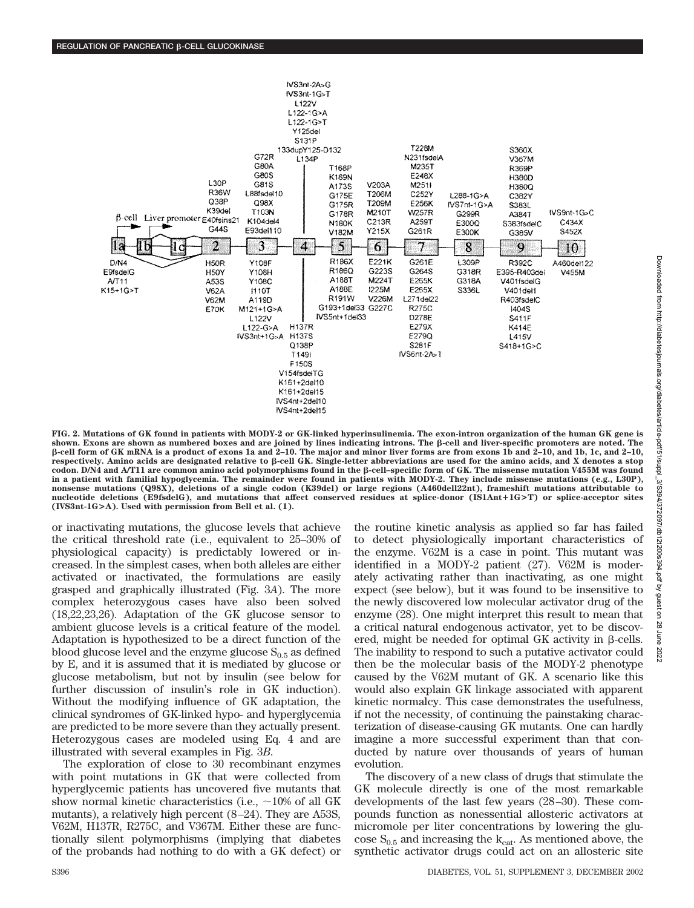

**FIG. 2. Mutations of GK found in patients with MODY-2 or GK-linked hyperinsulinemia. The exon-intron organization of the human GK gene is** shown. Exons are shown as numbered boxes and are joined by lines indicating introns. The *β*-cell and liver-specific promoters are noted. The **-cell form of GK mRNA is a product of exons 1a and 2–10. The major and minor liver forms are from exons 1b and 2–10, and 1b, 1c, and 2–10,** respectively. Amino acids are designated relative to β-cell GK. Single-letter abbreviations are used for the amino acids, and X denotes a stop codon. D/N4 and A/T11 are common amino acid polymorphisms found in the **B-cell–specific form of GK.** The missense mutation V455M was found **in a patient with familial hypoglycemia. The remainder were found in patients with MODY-2. They include missense mutations (e.g., L30P), nonsense mutations (Q98X), deletions of a single codon (K39del) or large regions (A460dell22nt), frameshift mutations attributable to nucleotide deletions (E9fsdelG), and mutations that affect conserved residues at splice-donor (IS1Ant**-**1G>T) or splice-acceptor sites (IVS3nt-1G>A). Used with permission from Bell et al. (1).**

or inactivating mutations, the glucose levels that achieve the critical threshold rate (i.e., equivalent to 25–30% of physiological capacity) is predictably lowered or increased. In the simplest cases, when both alleles are either activated or inactivated, the formulations are easily grasped and graphically illustrated (Fig. 3*A*). The more complex heterozygous cases have also been solved (18,22,23,26). Adaptation of the GK glucose sensor to ambient glucose levels is a critical feature of the model. Adaptation is hypothesized to be a direct function of the blood glucose level and the enzyme glucose  $S_{0.5}$  as defined by E, and it is assumed that it is mediated by glucose or glucose metabolism, but not by insulin (see below for further discussion of insulin's role in GK induction). Without the modifying influence of GK adaptation, the clinical syndromes of GK-linked hypo- and hyperglycemia are predicted to be more severe than they actually present. Heterozygous cases are modeled using Eq. 4 and are illustrated with several examples in Fig. 3*B*.

The exploration of close to 30 recombinant enzymes with point mutations in GK that were collected from hyperglycemic patients has uncovered five mutants that show normal kinetic characteristics (i.e.,  $\sim$ 10% of all GK mutants), a relatively high percent (8–24). They are A53S, V62M, H137R, R275C, and V367M. Either these are functionally silent polymorphisms (implying that diabetes of the probands had nothing to do with a GK defect) or the routine kinetic analysis as applied so far has failed to detect physiologically important characteristics of the enzyme. V62M is a case in point. This mutant was identified in a MODY-2 patient (27). V62M is moderately activating rather than inactivating, as one might expect (see below), but it was found to be insensitive to the newly discovered low molecular activator drug of the enzyme (28). One might interpret this result to mean that a critical natural endogenous activator, yet to be discovered, might be needed for optimal GK activity in  $\beta$ -cells. The inability to respond to such a putative activator could then be the molecular basis of the MODY-2 phenotype caused by the V62M mutant of GK. A scenario like this would also explain GK linkage associated with apparent kinetic normalcy. This case demonstrates the usefulness, if not the necessity, of continuing the painstaking characterization of disease-causing GK mutants. One can hardly imagine a more successful experiment than that conducted by nature over thousands of years of human evolution.

The discovery of a new class of drugs that stimulate the GK molecule directly is one of the most remarkable developments of the last few years (28–30). These compounds function as nonessential allosteric activators at micromole per liter concentrations by lowering the glucose  $S_{0.5}$  and increasing the  $k_{cat}$ . As mentioned above, the synthetic activator drugs could act on an allosteric site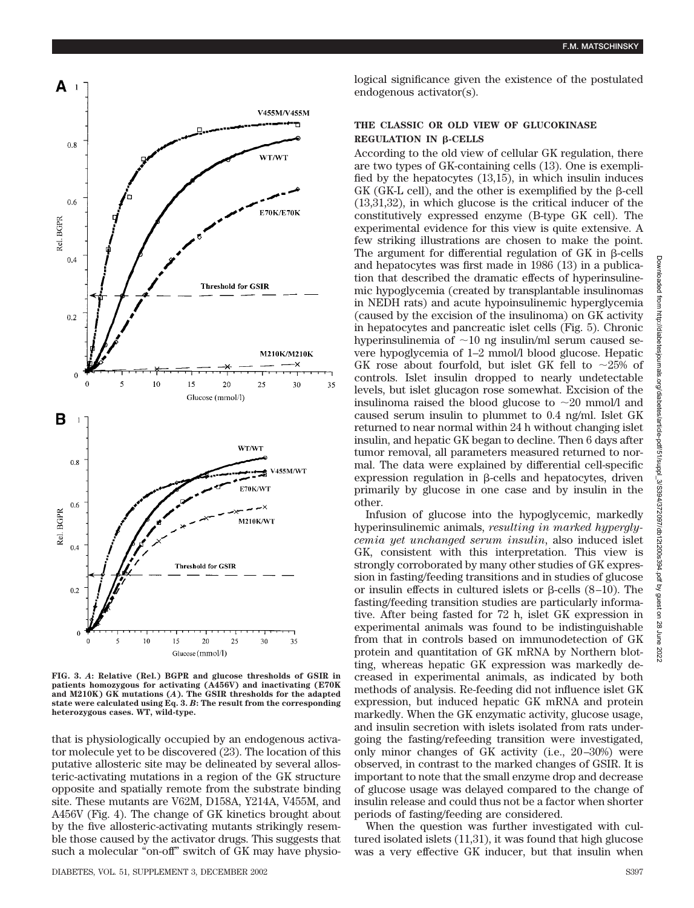

**FIG. 3.** *A***: Relative (Rel.) BGPR and glucose thresholds of GSIR in patients homozygous for activating (A456V) and inactivating (E70K and M210K) GK mutations (***A***). The GSIR thresholds for the adapted state were calculated using Eq. 3.** *B***: The result from the corresponding heterozygous cases. WT, wild-type.**

that is physiologically occupied by an endogenous activator molecule yet to be discovered (23). The location of this putative allosteric site may be delineated by several allosteric-activating mutations in a region of the GK structure opposite and spatially remote from the substrate binding site. These mutants are V62M, D158A, Y214A, V455M, and A456V (Fig. 4). The change of GK kinetics brought about by the five allosteric-activating mutants strikingly resemble those caused by the activator drugs. This suggests that such a molecular "on-off" switch of GK may have physio**F.M. MATSCHINSKY**

### **THE CLASSIC OR OLD VIEW OF GLUCOKINASE REGULATION IN B-CELLS**

endogenous activator(s).

logical significance given the existence of the postulated

According to the old view of cellular GK regulation, there are two types of GK-containing cells (13). One is exemplified by the hepatocytes (13,15), in which insulin induces GK (GK-L cell), and the other is exemplified by the B-cell (13,31,32), in which glucose is the critical inducer of the constitutively expressed enzyme (B-type GK cell). The experimental evidence for this view is quite extensive. A few striking illustrations are chosen to make the point. The argument for differential regulation of  $GK$  in  $\beta$ -cells and hepatocytes was first made in 1986 (13) in a publication that described the dramatic effects of hyperinsulinemic hypoglycemia (created by transplantable insulinomas in NEDH rats) and acute hypoinsulinemic hyperglycemia (caused by the excision of the insulinoma) on GK activity in hepatocytes and pancreatic islet cells (Fig. 5). Chronic hyperinsulinemia of  $\sim$ 10 ng insulin/ml serum caused severe hypoglycemia of 1–2 mmol/l blood glucose. Hepatic GK rose about fourfold, but islet GK fell to  $\sim$ 25% of controls. Islet insulin dropped to nearly undetectable levels, but islet glucagon rose somewhat. Excision of the insulinoma raised the blood glucose to  ${\sim}20$  mmol/l and caused serum insulin to plummet to 0.4 ng/ml. Islet GK returned to near normal within 24 h without changing islet insulin, and hepatic GK began to decline. Then 6 days after tumor removal, all parameters measured returned to normal. The data were explained by differential cell-specific  $expression$  regulation in  $\beta$ -cells and hepatocytes, driven primarily by glucose in one case and by insulin in the other.

Infusion of glucose into the hypoglycemic, markedly hyperinsulinemic animals, *resulting in marked hyperglycemia yet unchanged serum insulin*, also induced islet GK, consistent with this interpretation. This view is strongly corroborated by many other studies of GK expression in fasting/feeding transitions and in studies of glucose or insulin effects in cultured islets or  $\beta$ -cells (8–10). The fasting/feeding transition studies are particularly informative. After being fasted for 72 h, islet GK expression in experimental animals was found to be indistinguishable from that in controls based on immunodetection of GK protein and quantitation of GK mRNA by Northern blotting, whereas hepatic GK expression was markedly decreased in experimental animals, as indicated by both methods of analysis. Re-feeding did not influence islet GK expression, but induced hepatic GK mRNA and protein markedly. When the GK enzymatic activity, glucose usage, and insulin secretion with islets isolated from rats undergoing the fasting/refeeding transition were investigated, only minor changes of GK activity (i.e., 20–30%) were observed, in contrast to the marked changes of GSIR. It is important to note that the small enzyme drop and decrease of glucose usage was delayed compared to the change of insulin release and could thus not be a factor when shorter periods of fasting/feeding are considered.

When the question was further investigated with cultured isolated islets (11,31), it was found that high glucose was a very effective GK inducer, but that insulin when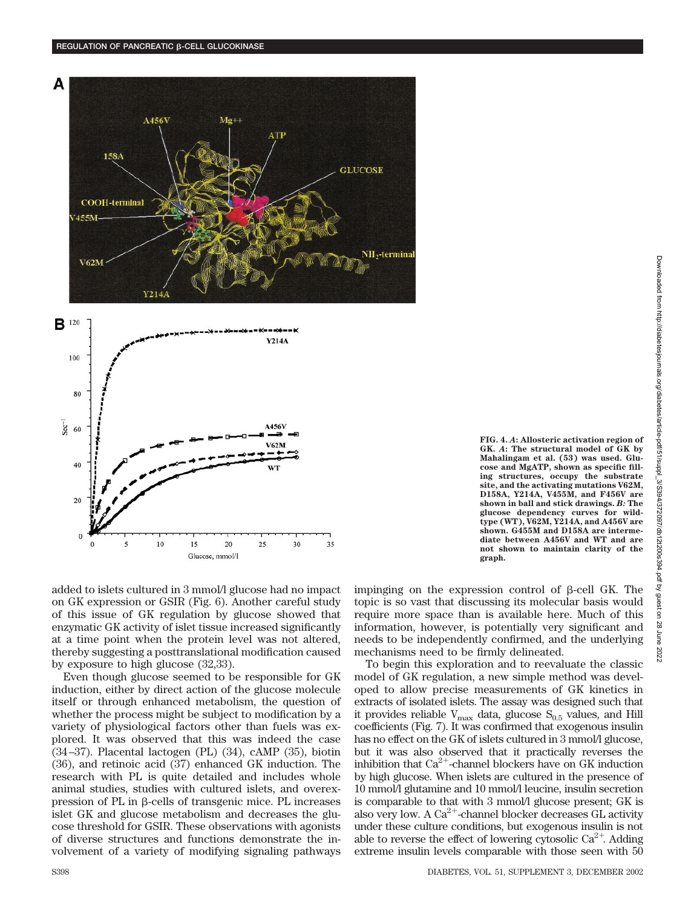

A456V



added to islets cultured in 3 mmol/l glucose had no impact on GK expression or GSIR (Fig. 6). Another careful study of this issue of GK regulation by glucose showed that enzymatic GK activity of islet tissue increased significantly at a time point when the protein level was not altered, thereby suggesting a posttranslational modification caused by exposure to high glucose (32,33).

15

20

Glucose, mmol/l

25

30

35

 $10$ 

s

Even though glucose seemed to be responsible for GK induction, either by direct action of the glucose molecule itself or through enhanced metabolism, the question of whether the process might be subject to modification by a variety of physiological factors other than fuels was explored. It was observed that this was indeed the case (34–37). Placental lactogen (PL) (34), cAMP (35), biotin (36), and retinoic acid (37) enhanced GK induction. The research with PL is quite detailed and includes whole animal studies, studies with cultured islets, and overexpression of PL in  $\beta$ -cells of transgenic mice. PL increases islet GK and glucose metabolism and decreases the glucose threshold for GSIR. These observations with agonists of diverse structures and functions demonstrate the involvement of a variety of modifying signaling pathways impinging on the expression control of  $\beta$ -cell GK. The topic is so vast that discussing its molecular basis would require more space than is available here. Much of this information, however, is potentially very significant and needs to be independently confirmed, and the underlying mechanisms need to be firmly delineated.

To begin this exploration and to reevaluate the classic model of GK regulation, a new simple method was developed to allow precise measurements of GK kinetics in extracts of isolated islets. The assay was designed such that it provides reliable  $V_{\text{max}}$  data, glucose  $S_{0.5}$  values, and Hill coefficients (Fig. 7). It was confirmed that exogenous insulin has no effect on the GK of islets cultured in 3 mmol/l glucose, but it was also observed that it practically reverses the inhibition that  $Ca^{2+}$ -channel blockers have on GK induction by high glucose. When islets are cultured in the presence of 10 mmol/l glutamine and 10 mmol/l leucine, insulin secretion is comparable to that with 3 mmol/l glucose present; GK is also very low. A  $Ca^{2+}$ -channel blocker decreases GL activity under these culture conditions, but exogenous insulin is not able to reverse the effect of lowering cytosolic  $Ca^{2+}$ . Adding extreme insulin levels comparable with those seen with 50

 $sec<sup>-1</sup>$ 

60

40

20

 $\mathbf 0$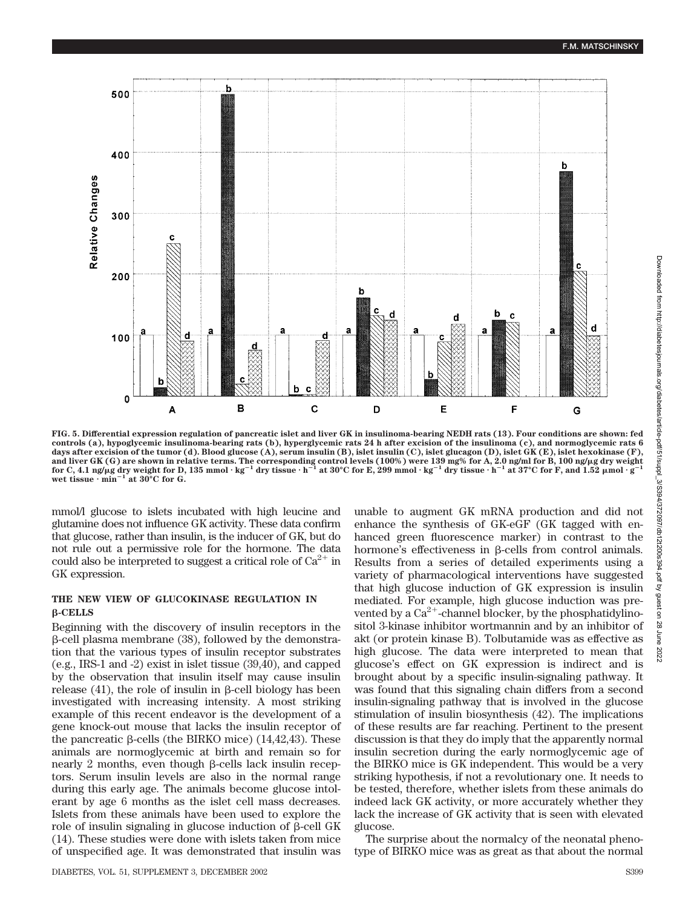

**FIG. 5. Differential expression regulation of pancreatic islet and liver GK in insulinoma-bearing NEDH rats (13). Four conditions are shown: fed controls (a), hypoglycemic insulinoma-bearing rats (b), hyperglycemic rats 24 h after excision of the insulinoma (c), and normoglycemic rats 6 days after excision of the tumor (d). Blood glucose (A), serum insulin (B), islet insulin (C), islet glucagon (D), islet GK (E), islet hexokinase (F),** and liver GK (G) are shown in relative terms. The corresponding control levels (100%) were 139 mg% for A, 2.0 ng/ml for B, 100 ng/µg dry weight<br>for C, 4.1 ng/µg dry weight for D, 135 mmol·kg<sup>–1</sup> dry tissue·h<sup>–1</sup> at 30°C fo wet tissue  $\cdot$  min<sup>-1</sup> at 30°C for G.

mmol/l glucose to islets incubated with high leucine and glutamine does not influence GK activity. These data confirm that glucose, rather than insulin, is the inducer of GK, but do not rule out a permissive role for the hormone. The data could also be interpreted to suggest a critical role of  $Ca^{2+}$  in GK expression.

### **THE NEW VIEW OF GLUCOKINASE REGULATION IN -CELLS**

Beginning with the discovery of insulin receptors in the  $\beta$ -cell plasma membrane (38), followed by the demonstration that the various types of insulin receptor substrates (e.g., IRS-1 and -2) exist in islet tissue (39,40), and capped by the observation that insulin itself may cause insulin release  $(41)$ , the role of insulin in  $\beta$ -cell biology has been investigated with increasing intensity. A most striking example of this recent endeavor is the development of a gene knock-out mouse that lacks the insulin receptor of the pancreatic  $\beta$ -cells (the BIRKO mice) (14,42,43). These animals are normoglycemic at birth and remain so for nearly 2 months, even though  $\beta$ -cells lack insulin receptors. Serum insulin levels are also in the normal range during this early age. The animals become glucose intolerant by age 6 months as the islet cell mass decreases. Islets from these animals have been used to explore the role of insulin signaling in glucose induction of  $\beta$ -cell GK (14). These studies were done with islets taken from mice of unspecified age. It was demonstrated that insulin was

DIABETES, VOL. 51, SUPPLEMENT 3, DECEMBER 2002 S399

unable to augment GK mRNA production and did not enhance the synthesis of GK-eGF (GK tagged with enhanced green fluorescence marker) in contrast to the hormone's effectiveness in  $\beta$ -cells from control animals. Results from a series of detailed experiments using a variety of pharmacological interventions have suggested that high glucose induction of GK expression is insulin mediated. For example, high glucose induction was prevented by a  $Ca^{2+}$ -channel blocker, by the phosphatidylinositol 3-kinase inhibitor wortmannin and by an inhibitor of akt (or protein kinase B). Tolbutamide was as effective as high glucose. The data were interpreted to mean that glucose's effect on GK expression is indirect and is brought about by a specific insulin-signaling pathway. It was found that this signaling chain differs from a second insulin-signaling pathway that is involved in the glucose stimulation of insulin biosynthesis (42). The implications of these results are far reaching. Pertinent to the present discussion is that they do imply that the apparently normal insulin secretion during the early normoglycemic age of the BIRKO mice is GK independent. This would be a very striking hypothesis, if not a revolutionary one. It needs to be tested, therefore, whether islets from these animals do indeed lack GK activity, or more accurately whether they lack the increase of GK activity that is seen with elevated glucose.

The surprise about the normalcy of the neonatal phenotype of BIRKO mice was as great as that about the normal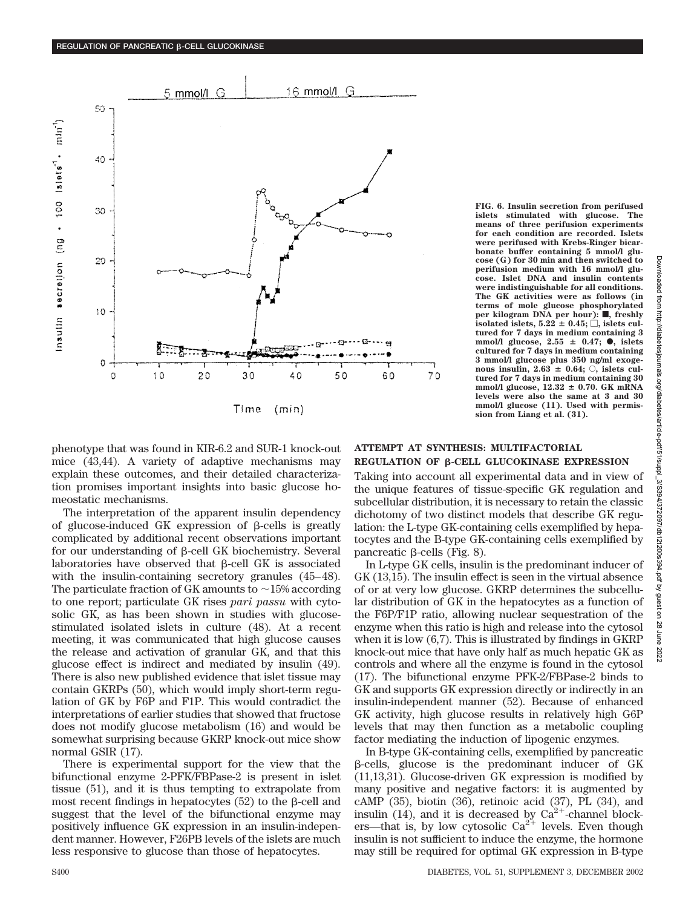

Time  $(min)$ 

phenotype that was found in KIR-6.2 and SUR-1 knock-out mice (43,44). A variety of adaptive mechanisms may explain these outcomes, and their detailed characterization promises important insights into basic glucose homeostatic mechanisms.

The interpretation of the apparent insulin dependency of glucose-induced GK expression of  $\beta$ -cells is greatly complicated by additional recent observations important for our understanding of  $\beta$ -cell GK biochemistry. Several laboratories have observed that  $\beta$ -cell GK is associated with the insulin-containing secretory granules (45–48). The particulate fraction of GK amounts to  $\sim$  15% according to one report; particulate GK rises *pari passu* with cytosolic GK, as has been shown in studies with glucosestimulated isolated islets in culture (48). At a recent meeting, it was communicated that high glucose causes the release and activation of granular GK, and that this glucose effect is indirect and mediated by insulin (49). There is also new published evidence that islet tissue may contain GKRPs (50), which would imply short-term regulation of GK by F6P and F1P. This would contradict the interpretations of earlier studies that showed that fructose does not modify glucose metabolism (16) and would be somewhat surprising because GKRP knock-out mice show normal GSIR (17).

There is experimental support for the view that the bifunctional enzyme 2-PFK/FBPase-2 is present in islet tissue (51), and it is thus tempting to extrapolate from most recent findings in hepatocytes  $(52)$  to the  $\beta$ -cell and suggest that the level of the bifunctional enzyme may positively influence GK expression in an insulin-independent manner. However, F26PB levels of the islets are much less responsive to glucose than those of hepatocytes.

**FIG. 6. Insulin secretion from perifused islets stimulated with glucose. The means of three perifusion experiments for each condition are recorded. Islets were perifused with Krebs-Ringer bicarbonate buffer containing 5 mmol/l glucose (G) for 30 min and then switched to perifusion medium with 16 mmol/l glucose. Islet DNA and insulin contents were indistinguishable for all conditions. The GK activities were as follows (in terms of mole glucose phosphorylated per kilogram DNA per hour): ■, freshly**  $\mathbf{i}$  solated islets,  $5.22 \pm 0.45;$   $\Box$ , islets cul**tured for 7 days in medium containing 3 mmol/l** glucose, 2.55 ± 0.47; ●, islets **cultured for 7 days in medium containing 3 mmol/l glucose plus 350 ng/ml exoge**nous insulin,  $2.63 \pm 0.64$ ;  $\circ$ , islets cul**tured for 7 days in medium containing 30** mmol/l glucose,  $12.32 \pm 0.70$ . GK mRNA **levels were also the same at 3 and 30 mmol/l glucose (11). Used with permission from Liang et al. (31).**

## **ATTEMPT AT SYNTHESIS: MULTIFACTORIAL REGULATION OF B-CELL GLUCOKINASE EXPRESSION**

Taking into account all experimental data and in view of the unique features of tissue-specific GK regulation and subcellular distribution, it is necessary to retain the classic dichotomy of two distinct models that describe GK regulation: the L-type GK-containing cells exemplified by hepatocytes and the B-type GK-containing cells exemplified by pancreatic  $\beta$ -cells (Fig. 8).

In L-type GK cells, insulin is the predominant inducer of GK (13,15). The insulin effect is seen in the virtual absence of or at very low glucose. GKRP determines the subcellular distribution of GK in the hepatocytes as a function of the F6P/F1P ratio, allowing nuclear sequestration of the enzyme when this ratio is high and release into the cytosol when it is low (6,7). This is illustrated by findings in GKRP knock-out mice that have only half as much hepatic GK as controls and where all the enzyme is found in the cytosol (17). The bifunctional enzyme PFK-2/FBPase-2 binds to GK and supports GK expression directly or indirectly in an insulin-independent manner (52). Because of enhanced GK activity, high glucose results in relatively high G6P levels that may then function as a metabolic coupling factor mediating the induction of lipogenic enzymes.

In B-type GK-containing cells, exemplified by pancreatic -cells, glucose is the predominant inducer of GK (11,13,31). Glucose-driven GK expression is modified by many positive and negative factors: it is augmented by cAMP (35), biotin (36), retinoic acid (37), PL (34), and insulin  $(14)$ , and it is decreased by  $Ca^{2+}$ -channel blockers—that is, by low cytosolic  $Ca^{2+}$  levels. Even though insulin is not sufficient to induce the enzyme, the hormone may still be required for optimal GK expression in B-type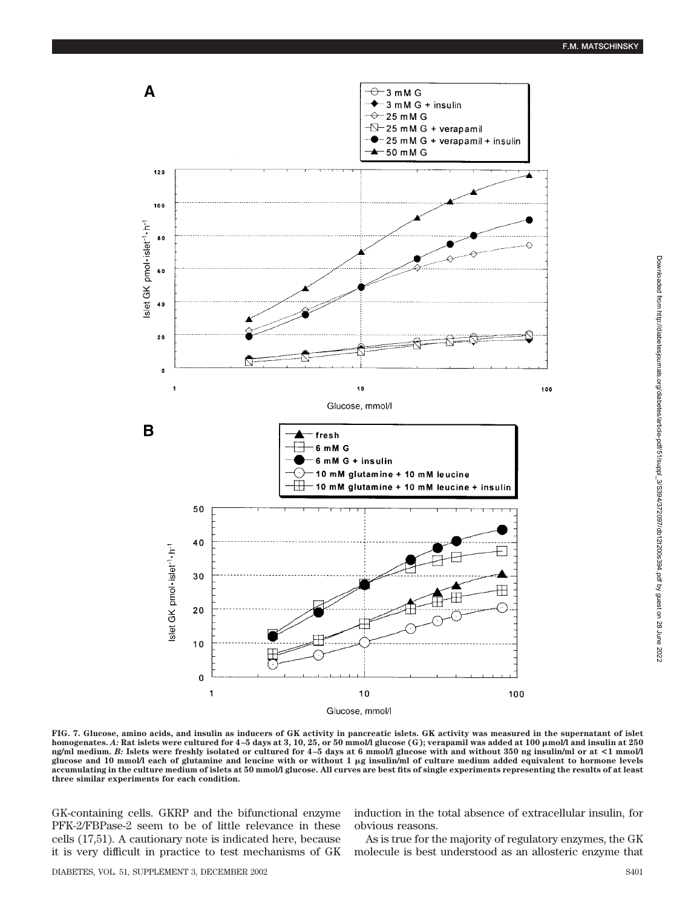

**FIG. 7. Glucose, amino acids, and insulin as inducers of GK activity in pancreatic islets. GK activity was measured in the supernatant of islet homogenates.** *A:* **Rat islets were cultured for 4–5 days at 3, 10, 25, or 50 mmol/l glucose (G); verapamil was added at 100 mol/l and insulin at 250 ng/ml medium.** *B:* **Islets were freshly isolated or cultured for 4–5 days at 6 mmol/l glucose with and without 350 ng insulin/ml or at <1 mmol/l glucose and 10 mmol/l each of glutamine and leucine with or without 1 g insulin/ml of culture medium added equivalent to hormone levels accumulating in the culture medium of islets at 50 mmol/l glucose. All curves are best fits of single experiments representing the results of at least three similar experiments for each condition.**

GK-containing cells. GKRP and the bifunctional enzyme PFK-2/FBPase-2 seem to be of little relevance in these cells (17,51). A cautionary note is indicated here, because it is very difficult in practice to test mechanisms of GK induction in the total absence of extracellular insulin, for obvious reasons.

As is true for the majority of regulatory enzymes, the GK molecule is best understood as an allosteric enzyme that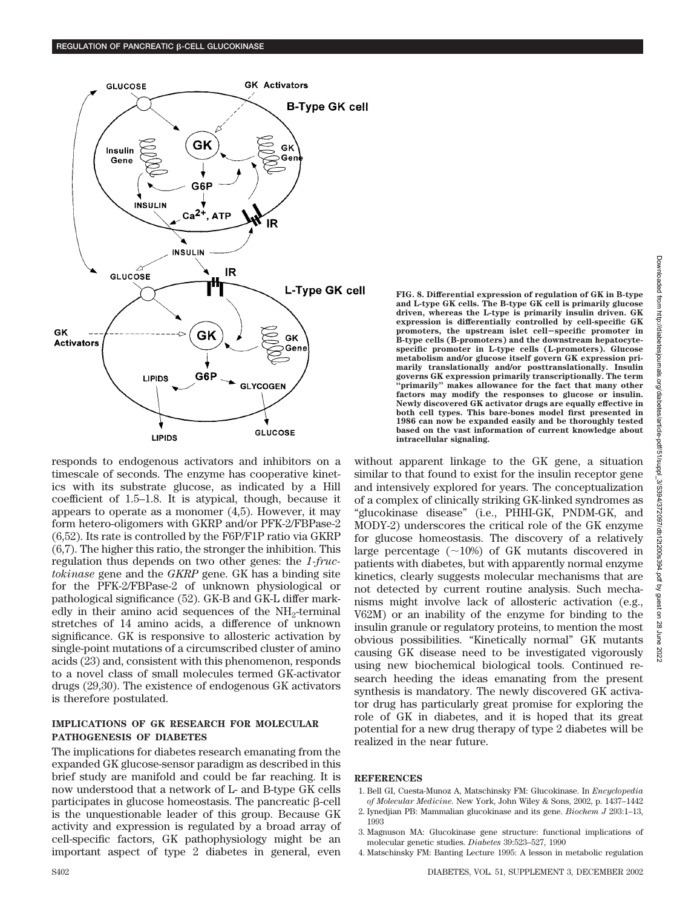

responds to endogenous activators and inhibitors on a timescale of seconds. The enzyme has cooperative kinetics with its substrate glucose, as indicated by a Hill coefficient of 1.5–1.8. It is atypical, though, because it appears to operate as a monomer (4,5). However, it may form hetero-oligomers with GKRP and/or PFK-2/FBPase-2 (6,52). Its rate is controlled by the F6P/F1P ratio via GKRP (6,7). The higher this ratio, the stronger the inhibition. This regulation thus depends on two other genes: the *1-fructokinase* gene and the *GKRP* gene. GK has a binding site for the PFK-2/FBPase-2 of unknown physiological or pathological significance (52). GK-B and GK-L differ markedly in their amino acid sequences of the  $NH<sub>2</sub>$ -terminal stretches of 14 amino acids, a difference of unknown significance. GK is responsive to allosteric activation by single-point mutations of a circumscribed cluster of amino acids (23) and, consistent with this phenomenon, responds to a novel class of small molecules termed GK-activator drugs (29,30). The existence of endogenous GK activators is therefore postulated.

### **IMPLICATIONS OF GK RESEARCH FOR MOLECULAR PATHOGENESIS OF DIABETES**

The implications for diabetes research emanating from the expanded GK glucose-sensor paradigm as described in this brief study are manifold and could be far reaching. It is now understood that a network of L- and B-type GK cells participates in glucose homeostasis. The pancreatic  $\beta$ -cell is the unquestionable leader of this group. Because GK activity and expression is regulated by a broad array of cell-specific factors, GK pathophysiology might be an important aspect of type 2 diabetes in general, even

**FIG. 8. Differential expression of regulation of GK in B-type and L-type GK cells. The B-type GK cell is primarily glucose driven, whereas the L-type is primarily insulin driven. GK expression is differentially controlled by cell-specific GK promoters, the upstream islet cellspecific promoter in B-type cells (B-promoters) and the downstream hepatocytespecific promoter in L-type cells (L-promoters). Glucose metabolism and/or glucose itself govern GK expression primarily translationally and/or posttranslationally. Insulin governs GK expression primarily transcriptionally. The term "primarily" makes allowance for the fact that many other factors may modify the responses to glucose or insulin. Newly discovered GK activator drugs are equally effective in both cell types. This bare-bones model first presented in 1986 can now be expanded easily and be thoroughly tested based on the vast information of current knowledge about intracellular signaling.**

without apparent linkage to the GK gene, a situation similar to that found to exist for the insulin receptor gene and intensively explored for years. The conceptualization of a complex of clinically striking GK-linked syndromes as "glucokinase disease" (i.e., PHHI-GK, PNDM-GK, and MODY-2) underscores the critical role of the GK enzyme for glucose homeostasis. The discovery of a relatively large percentage  $(\sim 10\%)$  of GK mutants discovered in patients with diabetes, but with apparently normal enzyme kinetics, clearly suggests molecular mechanisms that are not detected by current routine analysis. Such mechanisms might involve lack of allosteric activation (e.g., V62M) or an inability of the enzyme for binding to the insulin granule or regulatory proteins, to mention the most obvious possibilities. "Kinetically normal" GK mutants causing GK disease need to be investigated vigorously using new biochemical biological tools. Continued research heeding the ideas emanating from the present synthesis is mandatory. The newly discovered GK activator drug has particularly great promise for exploring the role of GK in diabetes, and it is hoped that its great potential for a new drug therapy of type 2 diabetes will be realized in the near future.

### **REFERENCES**

- 1. Bell GI, Cuesta-Munoz A, Matschinsky FM: Glucokinase. In *Encyclopedia of Molecular Medicine*. New York, John Wiley & Sons, 2002, p. 1437–1442
- 2. Iynedjian PB: Mammalian glucokinase and its gene. *Biochem J* 293:1–13, 1993
- 3. Magnuson MA: Glucokinase gene structure: functional implications of molecular genetic studies. *Diabetes* 39:523–527, 1990
- 4. Matschinsky FM: Banting Lecture 1995: A lesson in metabolic regulation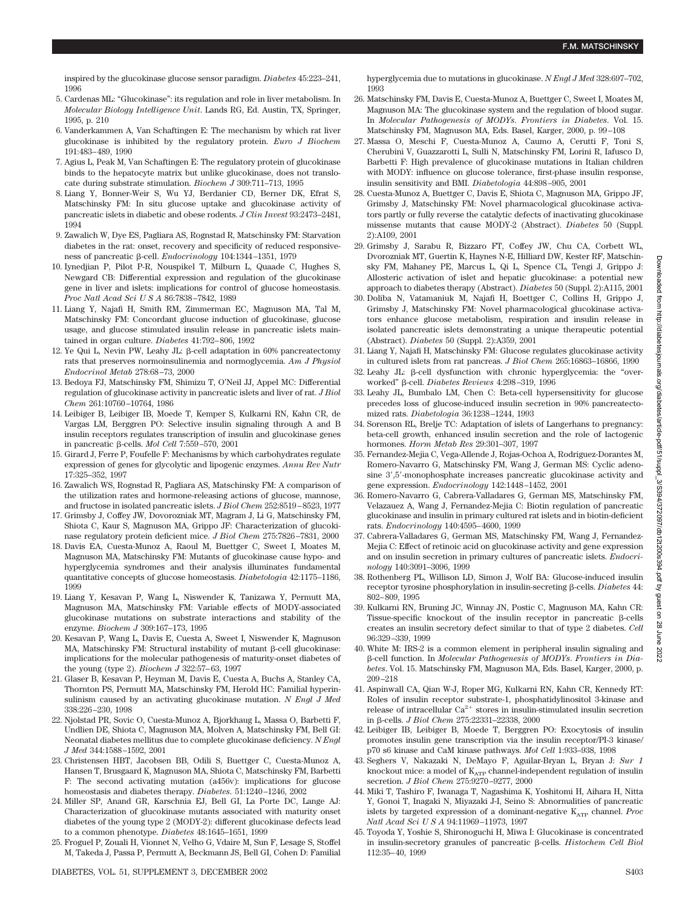inspired by the glucokinase glucose sensor paradigm. *Diabetes* 45:223–241, 1996

- 5. Cardenas ML: "Glucokinase": its regulation and role in liver metabolism. In *Molecular Biology Intelligence Unit*. Lands RG, Ed. Austin, TX, Springer, 1995, p. 210
- 6. Vanderkammen A, Van Schaftingen E: The mechanism by which rat liver glucokinase is inhibited by the regulatory protein. *Euro J Biochem* 191:483–489, 1990
- 7. Agius L, Peak M, Van Schaftingen E: The regulatory protein of glucokinase binds to the hepatocyte matrix but unlike glucokinase, does not translocate during substrate stimulation. *Biochem J* 309:711–713, 1995
- 8. Liang Y, Bonner-Weir S, Wu YJ, Berdanier CD, Berner DK, Efrat S, Matschinsky FM: In situ glucose uptake and glucokinase activity of pancreatic islets in diabetic and obese rodents. *J Clin Invest* 93:2473–2481, 1994
- 9. Zawalich W, Dye ES, Pagliara AS, Rognstad R, Matschinsky FM: Starvation diabetes in the rat: onset, recovery and specificity of reduced responsiveness of pancreatic β-cell. *Endocrinology* 104:1344–1351, 1979
- 10. Iynedjian P, Pilot P-R, Nouspikel T, Milburn L, Quaade C, Hughes S, Newgard CB: Differential expression and regulation of the glucokinase gene in liver and islets: implications for control of glucose homeostasis. *Proc Natl Acad SciUSA* 86:7838–7842, 1989
- 11. Liang Y, Najafi H, Smith RM, Zimmerman EC, Magnuson MA, Tal M, Matschinsky FM: Concordant glucose induction of glucokinase, glucose usage, and glucose stimulated insulin release in pancreatic islets maintained in organ culture. *Diabetes* 41:792–806, 1992
- 12. Ye Qui L, Nevin PW, Leahy JL:  $\beta$ -cell adaptation in 60% pancreatectomy rats that preserves normoinsulinemia and normoglycemia. *Am J Physiol Endocrinol Metab* 278:68–73, 2000
- 13. Bedoya FJ, Matschinsky FM, Shimizu T, O'Neil JJ, Appel MC: Differential regulation of glucokinase activity in pancreatic islets and liver of rat. *J Biol Chem* 261:10760–10764, 1986
- 14. Leibiger B, Leibiger IB, Moede T, Kemper S, Kulkarni RN, Kahn CR, de Vargas LM, Berggren PO: Selective insulin signaling through A and B insulin receptors regulates transcription of insulin and glucokinase genes in pancreatic β-cells. *Mol Cell* 7:559-570, 2001
- 15. Girard J, Ferre P, Foufelle F: Mechanisms by which carbohydrates regulate expression of genes for glycolytic and lipogenic enzymes. *Annu Rev Nutr* 17:325–352, 1997
- 16. Zawalich WS, Rognstad R, Pagliara AS, Matschinsky FM: A comparison of the utilization rates and hormone-releasing actions of glucose, mannose, and fructose in isolated pancreatic islets. *J Biol Chem* 252:8519–8523, 1977
- 17. Grimsby J, Coffey JW, Dovorozniak MT, Magram J, Li G, Matschinsky FM, Shiota C, Kaur S, Magnuson MA, Grippo JF: Characterization of glucokinase regulatory protein deficient mice. *J Biol Chem* 275:7826–7831, 2000
- 18. Davis EA, Cuesta-Munoz A, Raoul M, Buettger C, Sweet I, Moates M, Magnuson MA, Matschinsky FM: Mutants of glucokinase cause hypo- and hyperglycemia syndromes and their analysis illuminates fundamental quantitative concepts of glucose homeostasis. *Diabetologia* 42:1175–1186, 1999
- 19. Liang Y, Kesavan P, Wang L, Niswender K, Tanizawa Y, Permutt MA, Magnuson MA, Matschinsky FM: Variable effects of MODY-associated glucokinase mutations on substrate interactions and stability of the enzyme. *Biochem J* 309:167–173, 1995
- 20. Kesavan P, Wang L, Davis E, Cuesta A, Sweet I, Niswender K, Magnuson MA, Matschinsky FM: Structural instability of mutant  $\beta$ -cell glucokinase: implications for the molecular pathogenesis of maturity-onset diabetes of the young (type 2). *Biochem J* 322:57–63, 1997
- 21. Glaser B, Kesavan P, Heyman M, Davis E, Cuesta A, Buchs A, Stanley CA, Thornton PS, Permutt MA, Matschinsky FM, Herold HC: Familial hyperinsulinism caused by an activating glucokinase mutation. *N Engl J Med* 338:226–230, 1998
- 22. Njolstad PR, Sovic O, Cuesta-Munoz A, Bjorkhaug L, Massa O, Barbetti F, Undlien DE, Shiota C, Magnuson MA, Molven A, Matschinsky FM, Bell GI: Neonatal diabetes mellitus due to complete glucokinase deficiency. *N Engl J Med* 344:1588–1592, 2001
- 23. Christensen HBT, Jacobsen BB, Odili S, Buettger C, Cuesta-Munoz A, Hansen T, Brusgaard K, Magnuson MA, Shiota C, Matschinsky FM, Barbetti F: The second activating mutation (a456v): implications for glucose homeostasis and diabetes therapy. *Diabetes*. 51:1240–1246, 2002
- 24. Miller SP, Anand GR, Karschnia EJ, Bell GI, La Porte DC, Lange AJ: Characterization of glucokinase mutants associated with maturity onset diabetes of the young type 2 (MODY-2): different glucokinase defects lead to a common phenotype. *Diabetes* 48:1645–1651, 1999
- 25. Froguel P, Zouali H, Vionnet N, Velho G, Vdaire M, Sun F, Lesage S, Stoffel M, Takeda J, Passa P, Permutt A, Beckmann JS, Bell GI, Cohen D: Familial

hyperglycemia due to mutations in glucokinase. *N Engl J Med* 328:697–702, 1993

- 26. Matschinsky FM, Davis E, Cuesta-Munoz A, Buettger C, Sweet I, Moates M, Magnuson MA: The glucokinase system and the regulation of blood sugar. In *Molecular Pathogenesis of MODYs*. *Frontiers in Diabetes*. Vol. 15. Matschinsky FM, Magnuson MA, Eds. Basel, Karger, 2000, p. 99–108
- 27. Massa O, Meschi F, Cuesta-Munoz A, Caumo A, Cerutti F, Toni S, Cherubini V, Guazzarotti L, Sulli N, Matschinsky FM, Lorini R, Iafusco D, Barbetti F: High prevalence of glucokinase mutations in Italian children with MODY: influence on glucose tolerance, first-phase insulin response, insulin sensitivity and BMI. *Diabetologia* 44:898–905, 2001
- 28. Cuesta-Munoz A, Buettger C, Davis E, Shiota C, Magnuson MA, Grippo JF, Grimsby J, Matschinsky FM: Novel pharmacological glucokinase activators partly or fully reverse the catalytic defects of inactivating glucokinase missense mutants that cause MODY-2 (Abstract). *Diabetes* 50 (Suppl. 2):A109, 2001
- 29. Grimsby J, Sarabu R, Bizzaro FT, Coffey JW, Chu CA, Corbett WL, Dvorozniak MT, Guertin K, Haynes N-E, Hilliard DW, Kester RF, Matschinsky FM, Mahaney PE, Marcus L, Qi L, Spence CL, Tengi J, Grippo J: Allosteric activation of islet and hepatic glucokinase: a potential new approach to diabetes therapy (Abstract). *Diabetes* 50 (Suppl. 2):A115, 2001
- 30. Doliba N, Vatamaniuk M, Najafi H, Boettger C, Collins H, Grippo J, Grimsby J, Matschinsky FM: Novel pharmacological glucokinase activators enhance glucose metabolism, respiration and insulin release in isolated pancreatic islets demonstrating a unique therapeutic potential (Abstract). *Diabetes* 50 (Suppl. 2):A359, 2001
- 31. Liang Y, Najafi H, Matschinsky FM: Glucose regulates glucokinase activity in cultured islets from rat pancreas. *J Biol Chem* 265:16863–16866, 1990
- $32.$  Leahy JL:  $\beta$ -cell dysfunction with chronic hyperglycemia: the "overworked" β-cell. *Diabetes Reviews* 4:298-319, 1996
- 33. Leahy JL, Bumbalo LM, Chen C: Beta-cell hypersensitivity for glucose precedes loss of glucose-induced insulin secretion in 90% pancreatectomized rats. *Diabetologia* 36:1238–1244, 1993
- 34. Sorenson RL, Brelje TC: Adaptation of islets of Langerhans to pregnancy: beta-cell growth, enhanced insulin secretion and the role of lactogenic hormones. *Horm Metab Res* 29:301–307, 1997
- 35. Fernandez-Mejia C, Vega-Allende J, Rojas-Ochoa A, Rodriguez-Dorantes M, Romero-Navarro G, Matschinsky FM, Wang J, German MS: Cyclic adenosine 3',5'-monophosphate increases pancreatic glucokinase activity and gene expression. *Endocrinology* 142:1448–1452, 2001
- 36. Romero-Navarro G, Cabrera-Valladares G, German MS, Matschinsky FM, Velazauez A, Wang J, Fernandez-Mejia C: Biotin regulation of pancreatic glucokinase and insulin in primary cultured rat islets and in biotin-deficient rats. *Endocrinology* 140:4595–4600, 1999
- 37. Cabrera-Valladares G, German MS, Matschinsky FM, Wang J, Fernandez-Mejia C: Effect of retinoic acid on glucokinase activity and gene expression and on insulin secretion in primary cultures of pancreatic islets. *Endocrinology* 140:3091–3096, 1999
- 38. Rothenberg PL, Willison LD, Simon J, Wolf BA: Glucose-induced insulin receptor tyrosine phosphorylation in insulin-secreting β-cells. *Diabetes* 44: 802–809, 1995
- 39. Kulkarni RN, Bruning JC, Winnay JN, Postic C, Magnuson MA, Kahn CR: Tissue-specific knockout of the insulin receptor in pancreatic B-cells creates an insulin secretory defect similar to that of type 2 diabetes. *Cell* 96:329–339, 1999
- 40. White M: IRS-2 is a common element in peripheral insulin signaling and -cell function. In *Molecular Pathogenesis of MODYs*. *Frontiers in Diabetes*. Vol. 15. Matschinsky FM, Magnuson MA, Eds. Basel, Karger, 2000, p. 209–218
- 41. Aspinwall CA, Qian W-J, Roper MG, Kulkarni RN, Kahn CR, Kennedy RT: Roles of insulin receptor substrate-1, phosphatidylinositol 3-kinase and release of intracellular  $Ca^{2+}$  stores in insulin-stimulated insulin secretion in β-cells. *J Biol Chem* 275:22331-22338, 2000
- 42. Leibiger IB, Leibiger B, Moede T, Berggren PO: Exocytosis of insulin promotes insulin gene transcription via the insulin receptor/PI-3 kinase/ p70 s6 kinase and CaM kinase pathways. *Mol Cell* 1:933–938, 1998
- 43. Seghers V, Nakazaki N, DeMayo F, Aguilar-Bryan L, Bryan J: *Sur 1* knockout mice: a model of  $K_{ATP}$  channel-independent regulation of insulin secretion. *J Biol Chem* 275:9270–9277, 2000
- 44. Miki T, Tashiro F, Iwanaga T, Nagashima K, Yoshitomi H, Aihara H, Nitta Y, Gonoi T, Inagaki N, Miyazaki J-I, Seino S: Abnormalities of pancreatic islets by targeted expression of a dominant-negative  $K_{ATP}$  channel. *Proc Natl Acad SciUSA* 94:11969–11973, 1997
- 45. Toyoda Y, Yoshie S, Shironoguchi H, Miwa I: Glucokinase is concentrated in insulin-secretory granules of pancreatic  $\beta$ -cells. *Histochem Cell Biol* 112:35–40, 1999